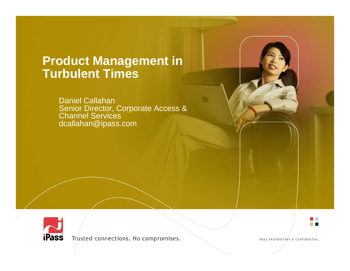# **Product Management in Turbulent Times**

Daniel Callahan Senior Director, Corporate Access & Channel Services dcallahan@ipass.com



Trusted connections. No compromises.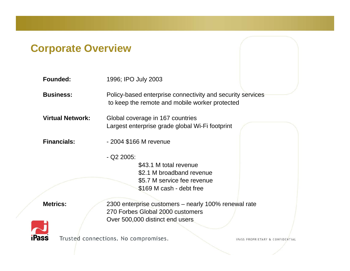## **Corporate Overview**

| Founded:                | 1996; IPO July 2003                                                                                                           |  |  |
|-------------------------|-------------------------------------------------------------------------------------------------------------------------------|--|--|
| <b>Business:</b>        | Policy-based enterprise connectivity and security services<br>to keep the remote and mobile worker protected                  |  |  |
| <b>Virtual Network:</b> | Global coverage in 167 countries<br>Largest enterprise grade global Wi-Fi footprint                                           |  |  |
| <b>Financials:</b>      | - 2004 \$166 M revenue                                                                                                        |  |  |
|                         | $-Q22005$ :<br>\$43.1 M total revenue<br>\$2.1 M broadband revenue<br>\$5.7 M service fee revenue<br>\$169 M cash - debt free |  |  |
| <b>Metrics:</b>         | 2300 enterprise customers - nearly 100% renewal rate<br>270 Forbes Global 2000 customers<br>Over 500,000 distinct end users   |  |  |
|                         | Trusted connections. No compromises.<br>IPASS PROPRIETARY & CONFIDENTIAL                                                      |  |  |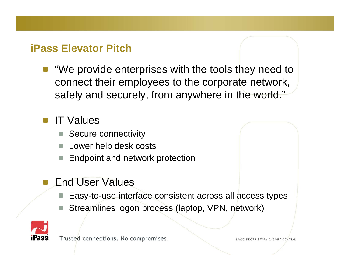#### **iPass Elevator Pitch**

- **•** "We provide enterprises with the tools they need to connect their employees to the corporate network, safely and securely, from anywhere in the world."
- IT Values
	- Secure connectivity
	- Lower help desk costs
	- Endpoint and network protection
- End User Values
	- Easy-to-use interface consistent across all access types
	- Streamlines logon process (laptop, VPN, network) $\left\vert \cdot \right\rangle$



Trusted connections. No compromises.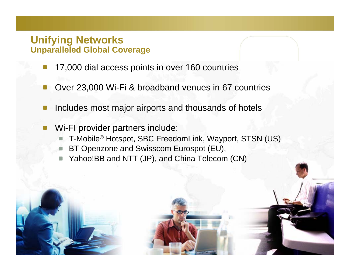#### **Unifying Networks Unparalleled Global Coverage**

- 17,000 dial access points in over 160 countries
- Over 23,000 Wi-Fi & broadband venues in 67 countries
- Includes most major airports and thousands of hotels
- Wi-FI provider partners include:
	- T-Mobile® Hotspot, SBC FreedomLink, Wayport, STSN (US)  $\blacksquare$
	- BT Openzone and Swisscom Eurospot (EU),
	- Yahoo!BB and NTT (JP), and China Telecom (CN)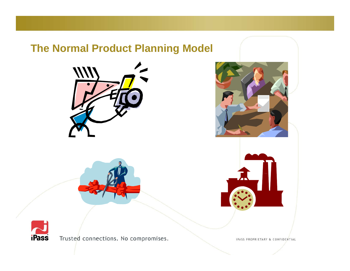#### **The Normal Product Planning Model**









Trusted connections. No compromises.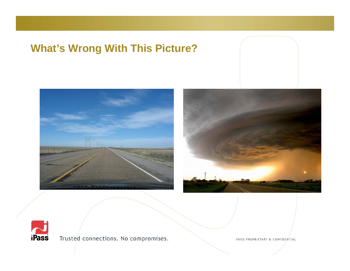## **What's Wrong With This Picture?**







Trusted connections. No compromises.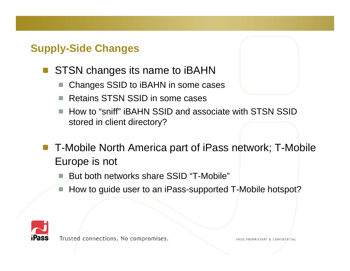## **Supply-Side Changes**

- STSN changes its name to iBAHN
	- Changes SSID to iBAHN in some cases  $\mathcal{C}^{\mathcal{A}}$
	- Retains STSN SSID in some cases $\sim$
	- How to "sniff" iBAHN SSID and associate with STSN SSID  $\mathcal{C}^{\mathcal{A}}$ stored in client directory?
- T-Mobile North America part of iPass network; T-Mobile Europe is not
	- But both networks share SSID "T-Mobile"
	- How to guide user to an iPass-supported T-Mobile hotspot?o



Trusted connections. No compromises.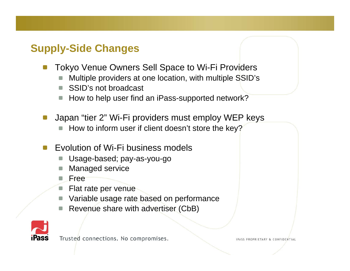## **Supply-Side Changes**

- Tokyo Venue Owners Sell Space to Wi-Fi Providers
	- Multiple providers at one location, with multiple SSID's  $\mathcal{L}_{\mathcal{A}}$
	- SSID's not broadcast
	- How to help user find an iPass-supported network?
- Japan "tier 2" Wi-Fi providers must employ WEP keys
	- How to inform user if client doesn't store the key?
- Evolution of Wi-Fi business modelsE.
	- Usage-based; pay-as-you-go
	- Managed service
	- Free
	- Flat rate per venue  $\sim$
	- Variable usage rate based on performance
	- Revenue share with advertiser (CbB)



Trusted connections. No compromises.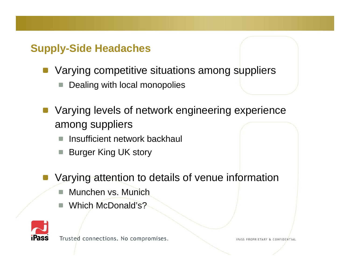## **Supply-Side Headaches**

- **•** Varying competitive situations among suppliers
	- Dealing with local monopolies  $\mathcal{C}^{\mathcal{A}}$
- **Varying levels of network engineering experience** among suppliers
	- Insufficient network backhaul **I**
	- Burger King UK story
	- Varying attention to details of venue information
		- Munchen vs. Munich
		- Which McDonald's? ×



Trusted connections. No compromises.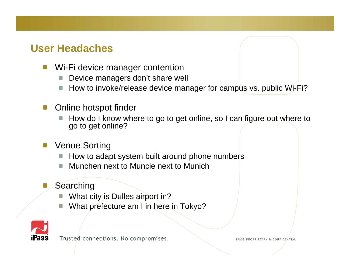#### **User Headaches**

- Wi-Fi device manager contention
	- Device managers don't share well  $\mathcal{C}^{\mathcal{A}}$
	- How to invoke/release device manager for campus vs. public Wi-Fi?
- Online hotspot finder
	- How do I know where to go to get online, so I can figure out where to  $\mathcal{L}_{\mathcal{A}}$ go to get online?
- Venue Sorting
	- How to adapt system built around phone numbers  $\mathbb{R}^n$
	- Munchen next to Muncie next to Munich $\mathcal{C}^{\mathcal{A}}$
	- **Searching** 
		- What city is Dulles airport in?
		- What prefecture am I in here in Tokyo?×



Trusted connections. No compromises.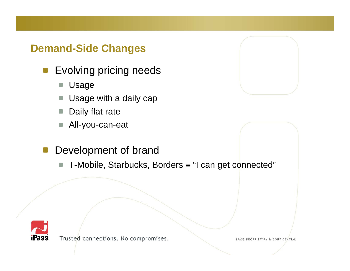#### **Demand-Side Changes**

- **Evolving pricing needs** 
	- **Usage**
	- **Usage with a daily cap**
	- Daily flat rate o.
	- All-you-can-eat
- Development of brand E.
	- T-Mobile, Starbucks, Borders  $\equiv$  "I can get connected"  $\mathcal{O}(\epsilon)$



Trusted connections. No compromises.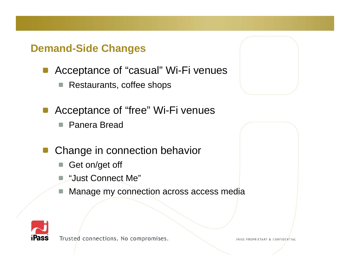### **Demand-Side Changes**

- Acceptance of "casual" Wi-Fi venues
	- Restaurants, coffee shops  $\mathcal{C}_{\mathcal{A}}$
- Acceptance of "free" Wi-Fi venues
	- Panera Bread $\langle \cdot \rangle$
- Change in connection behavior
	- Get on/get off P.
	- **U** "Just Connect Me"
	- Manage my connection across access media $\mathcal{P}_\mathcal{C}$



Trusted connections. No compromises.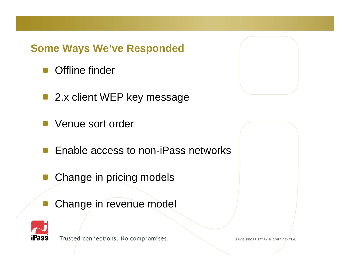## **Some Ways We've Responded**

- Offline finder  $\mathbb{R}^n$
- 2.x client WEP key message
- **Venue sort order**
- **Enable access to non-iPass networks**
- **Change in pricing models**
- **Change in revenue model**



Trusted connections. No compromises.

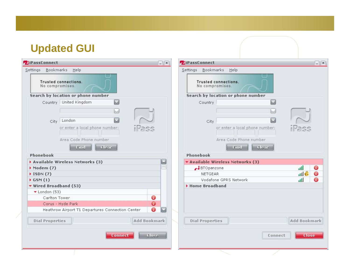# **Updated GUI**

| <b>A</b> iPassConnect                            | $ x$                | <b>diPassConnect</b>                           | $\Box$              |
|--------------------------------------------------|---------------------|------------------------------------------------|---------------------|
| Settings Bookmarks Help                          |                     | Settings Bookmarks Help                        |                     |
| <b>Trusted connections.</b><br>No compromises.   |                     | <b>Trusted connections.</b><br>No compromises. |                     |
| Search by location or phone number               |                     | Search by location or phone number             |                     |
| Country United Kingdom<br>$\sim$                 |                     | Country                                        | $\sim$              |
| انخا<br>Ω<br>London<br>City                      |                     | City                                           |                     |
| or enter a local phone number:                   | $i$ Pass            | or enter a local phone number:                 | iPass               |
| Area Code Phone number<br>Find<br>Clear          |                     | Area Code Phone number<br>Find<br>Clear        |                     |
| Phonebook                                        |                     | Phonebook                                      |                     |
| Available Wireless Networks (3)                  | O                   | * Available Wireless Networks (3)              |                     |
| Modem(7)                                         |                     | BTOpenzone                                     | all<br>$\bullet$    |
| $\triangleright$ ISDN (7)                        |                     | <b>NETGEAR</b>                                 | 山島<br>0             |
| $\blacktriangleright$ GSM (1)                    |                     | Vodafone GPRS Network                          | Θ<br>all.           |
| ▼ Wired Broadband (53)                           |                     | Home Broadband                                 |                     |
| $\blacktriangleright$ London (53)                |                     |                                                |                     |
| Carlton Tower                                    | $\bullet$           |                                                |                     |
| Corus - Hyde Park                                | $\bullet$           |                                                |                     |
| Heathrow Airport T1 Departures Connection Center | 6                   |                                                |                     |
| <b>Dial Properties</b>                           | <b>Add Bookmark</b> | <b>Dial Properties</b>                         | <b>Add Bookmark</b> |
| <b>Connect</b>                                   | Close               |                                                | Close<br>Connect    |

 $\boxed{\square}$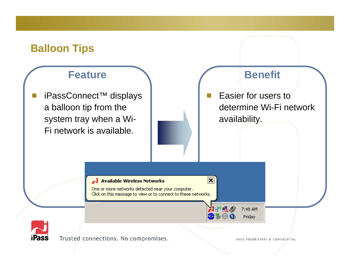#### **Balloon Tips**

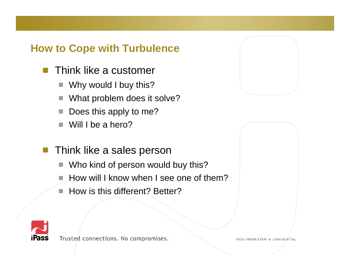#### **How to Cope with Turbulence**

- Think like a customer 2.3
	- Why would I buy this?
	- What problem does it solve? п
	- Does this apply to me? M.
	- Will I be a hero?  $\mathcal{L}_{\mathcal{A}}$

## Think like a sales person

- Who kind of person would buy this?  $\mathbb{R}^n$
- How will I know when I see one of them? a a
- How is this different? Better?M.



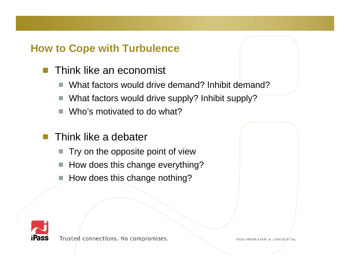### **How to Cope with Turbulence**

- Think like an economist
	- What factors would drive demand? Inhibit demand? ۰
	- What factors would drive supply? Inhibit supply? F.
	- Who's motivated to do what?T.
- Think like a debater B
	- Try on the opposite point of view o.
	- How does this change everything?  $\left\vert \cdot \right\rangle$
	- **How does this change nothing?**

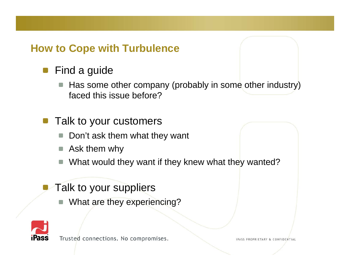#### **How to Cope with Turbulence**

- **Find a guide** 
	- Has some other company (probably in some other industry) M. faced this issue before?
- Talk to your customers
	- Don't ask them what they want  $\mathbb{R}^n$
	- Ask them why
	- What would they want if they knew what they wanted?  $\mathcal{C}^{\mathcal{C}}$
- Talk to your suppliers
	- What are they experiencing?O



Trusted connections. No compromises.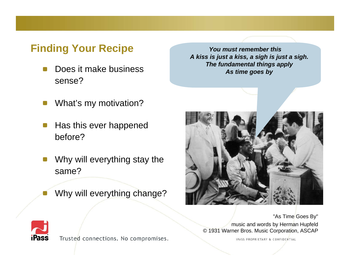## **Finding Your Recipe**

- Does it make business sense?
- What's my motivation? B.
- Has this ever happened k. before?
- Why will everything stay the same?
	- Why will everything change?

*You must remember this A kiss is just a kiss, a sigh is just a sigh. The fundamental things apply As time goes by*



"As Time Goes By" music and words by Herman Hupfeld © 1931 Warner Bros. Music Corporation, ASCAP

IPASS PROPRIETARY & CONFIDENTIAL



Trusted connections. No compromises.